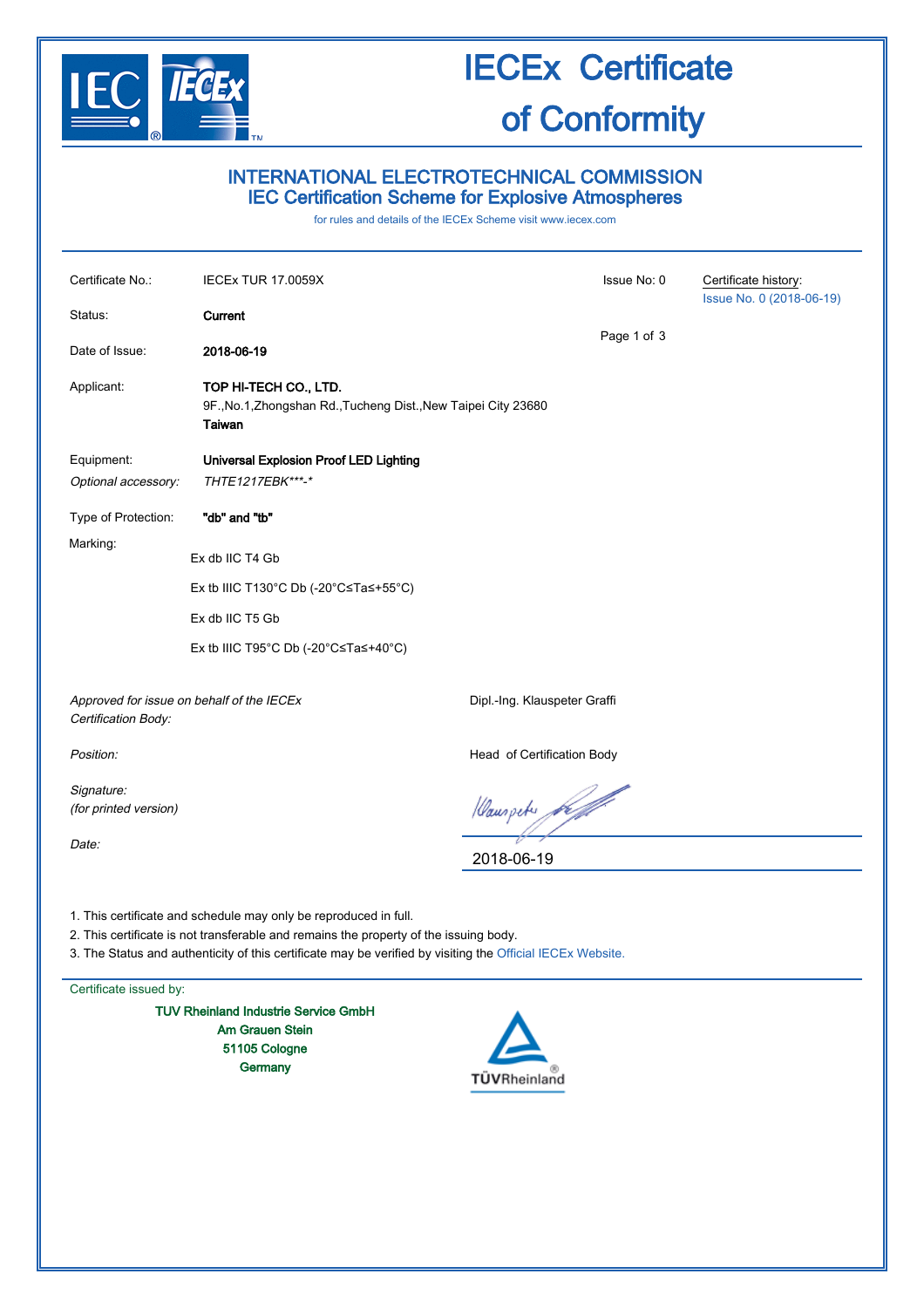

# IECEx Certificate of Conformity

## INTERNATIONAL ELECTROTECHNICAL COMMISSION IEC Certification Scheme for Explosive Atmospheres

for rules and details of the IECEx Scheme visit [www.iecex.com](http://www.iecex.com/)

| Certificate No.:                                                                                                                                                                                                                                                        | <b>IECEx TUR 17.0059X</b>                                                                         |                              | Certificate history:     |  |  |  |
|-------------------------------------------------------------------------------------------------------------------------------------------------------------------------------------------------------------------------------------------------------------------------|---------------------------------------------------------------------------------------------------|------------------------------|--------------------------|--|--|--|
| Status:                                                                                                                                                                                                                                                                 | Current                                                                                           |                              | Issue No. 0 (2018-06-19) |  |  |  |
| Date of Issue:                                                                                                                                                                                                                                                          | 2018-06-19                                                                                        | Page 1 of 3                  |                          |  |  |  |
| Applicant:                                                                                                                                                                                                                                                              | TOP HI-TECH CO., LTD.<br>9F., No.1, Zhongshan Rd., Tucheng Dist., New Taipei City 23680<br>Taiwan |                              |                          |  |  |  |
| Equipment:<br>Optional accessory:                                                                                                                                                                                                                                       | Universal Explosion Proof LED Lighting<br>THTE1217EBK***-*                                        |                              |                          |  |  |  |
| Type of Protection:                                                                                                                                                                                                                                                     | "db" and "tb"                                                                                     |                              |                          |  |  |  |
| Marking:                                                                                                                                                                                                                                                                | Ex db IIC T4 Gb                                                                                   |                              |                          |  |  |  |
| Ex tb IIIC T130°C Db (-20°C≤Ta≤+55°C)                                                                                                                                                                                                                                   |                                                                                                   |                              |                          |  |  |  |
|                                                                                                                                                                                                                                                                         |                                                                                                   |                              |                          |  |  |  |
|                                                                                                                                                                                                                                                                         | Ex tb IIIC T95°C Db (-20°C≤Ta≤+40°C)                                                              |                              |                          |  |  |  |
| Approved for issue on behalf of the IECEx<br>Certification Body:                                                                                                                                                                                                        |                                                                                                   | Dipl.-Ing. Klauspeter Graffi |                          |  |  |  |
| Position:                                                                                                                                                                                                                                                               |                                                                                                   | Head of Certification Body   |                          |  |  |  |
| Signature:<br>(for printed version)                                                                                                                                                                                                                                     |                                                                                                   | Hauspeter for                |                          |  |  |  |
| Date:                                                                                                                                                                                                                                                                   |                                                                                                   | 2018-06-19                   |                          |  |  |  |
| 1. This certificate and schedule may only be reproduced in full.<br>2. This certificate is not transferable and remains the property of the issuing body.<br>3. The Status and authenticity of this certificate may be verified by visiting the Official IECEx Website. |                                                                                                   |                              |                          |  |  |  |
| Certificate issued by:                                                                                                                                                                                                                                                  |                                                                                                   |                              |                          |  |  |  |
| <b>TUV Rheinland Industrie Service GmbH</b><br><b>Am Grauen Stein</b><br>51105 Cologne<br>Germany<br>TUVRheinland                                                                                                                                                       |                                                                                                   |                              |                          |  |  |  |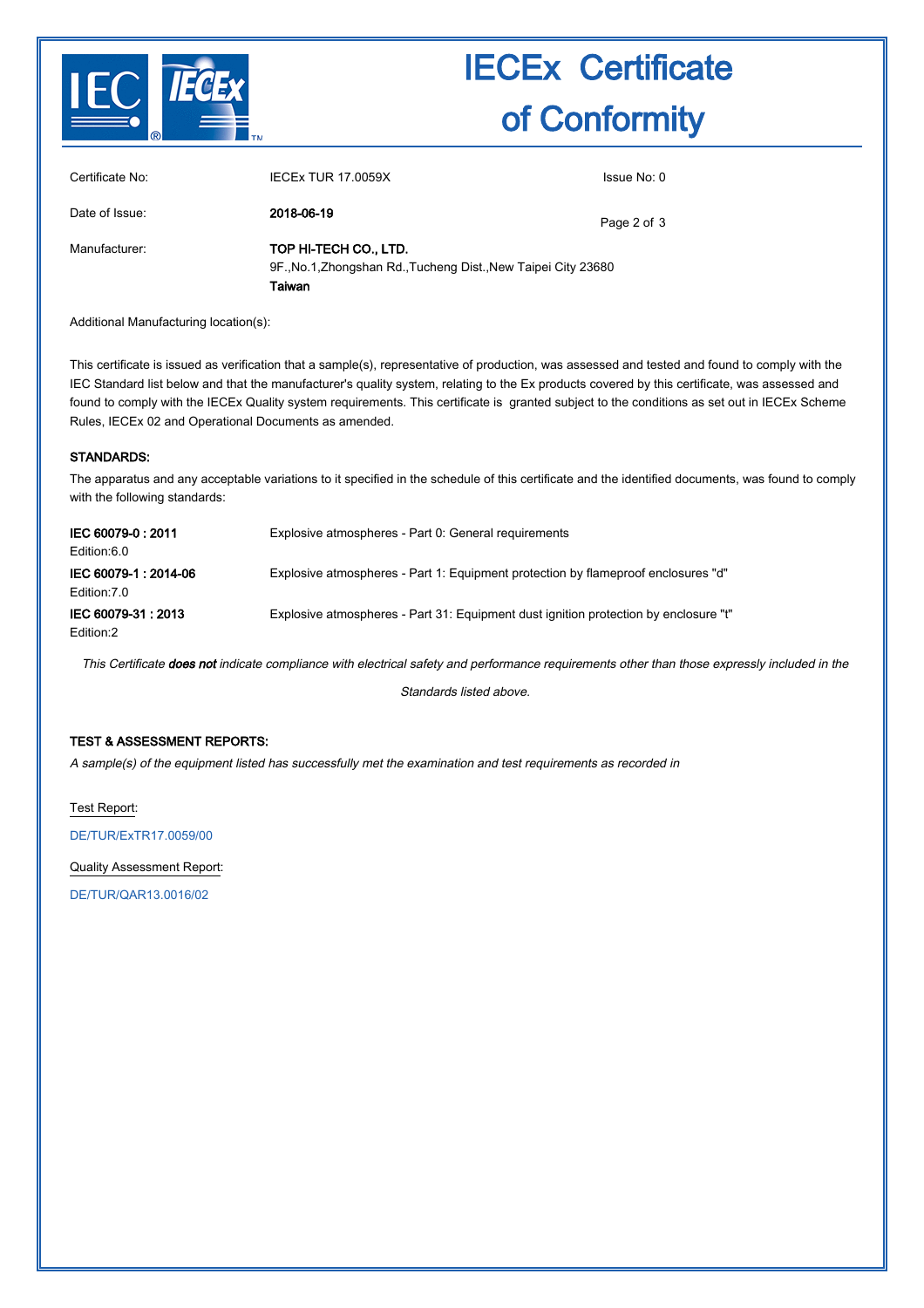

# IECEx Certificate of Conformity

| Certificate No: | <b>IECEX TUR 17,0059X</b>                                                                         | Issue No: 0 |  |
|-----------------|---------------------------------------------------------------------------------------------------|-------------|--|
| Date of Issue:  | 2018-06-19                                                                                        | Page 2 of 3 |  |
| Manufacturer:   | TOP HI-TECH CO., LTD.<br>9F., No.1, Zhongshan Rd., Tucheng Dist., New Taipei City 23680<br>Taiwan |             |  |

Additional Manufacturing location(s):

This certificate is issued as verification that a sample(s), representative of production, was assessed and tested and found to comply with the IEC Standard list below and that the manufacturer's quality system, relating to the Ex products covered by this certificate, was assessed and found to comply with the IECEx Quality system requirements. This certificate is granted subject to the conditions as set out in IECEx Scheme Rules, IECEx 02 and Operational Documents as amended.

#### STANDARDS:

The apparatus and any acceptable variations to it specified in the schedule of this certificate and the identified documents, was found to comply with the following standards:

| IEC 60079-0:2011<br>Edition:6.0     | Explosive atmospheres - Part 0: General requirements                                 |
|-------------------------------------|--------------------------------------------------------------------------------------|
| IEC 60079-1:2014-06<br>Edition: 7.0 | Explosive atmospheres - Part 1: Equipment protection by flameproof enclosures "d"    |
| IEC 60079-31: 2013<br>Edition:2     | Explosive atmospheres - Part 31: Equipment dust ignition protection by enclosure "t" |

This Certificate does not indicate compliance with electrical safety and performance requirements other than those expressly included in the

Standards listed above.

#### TEST & ASSESSMENT REPORTS:

A sample(s) of the equipment listed has successfully met the examination and test requirements as recorded in

Test Report:

[DE/TUR/ExTR17.0059/00](http://iecex.iec.ch/extr/DE.TUR.ExTR17.0059.00)

Quality Assessment Report:

[DE/TUR/QAR13.0016/02](http://iecex.iec.ch/qar/DE.TUR.QAR13.0016.02)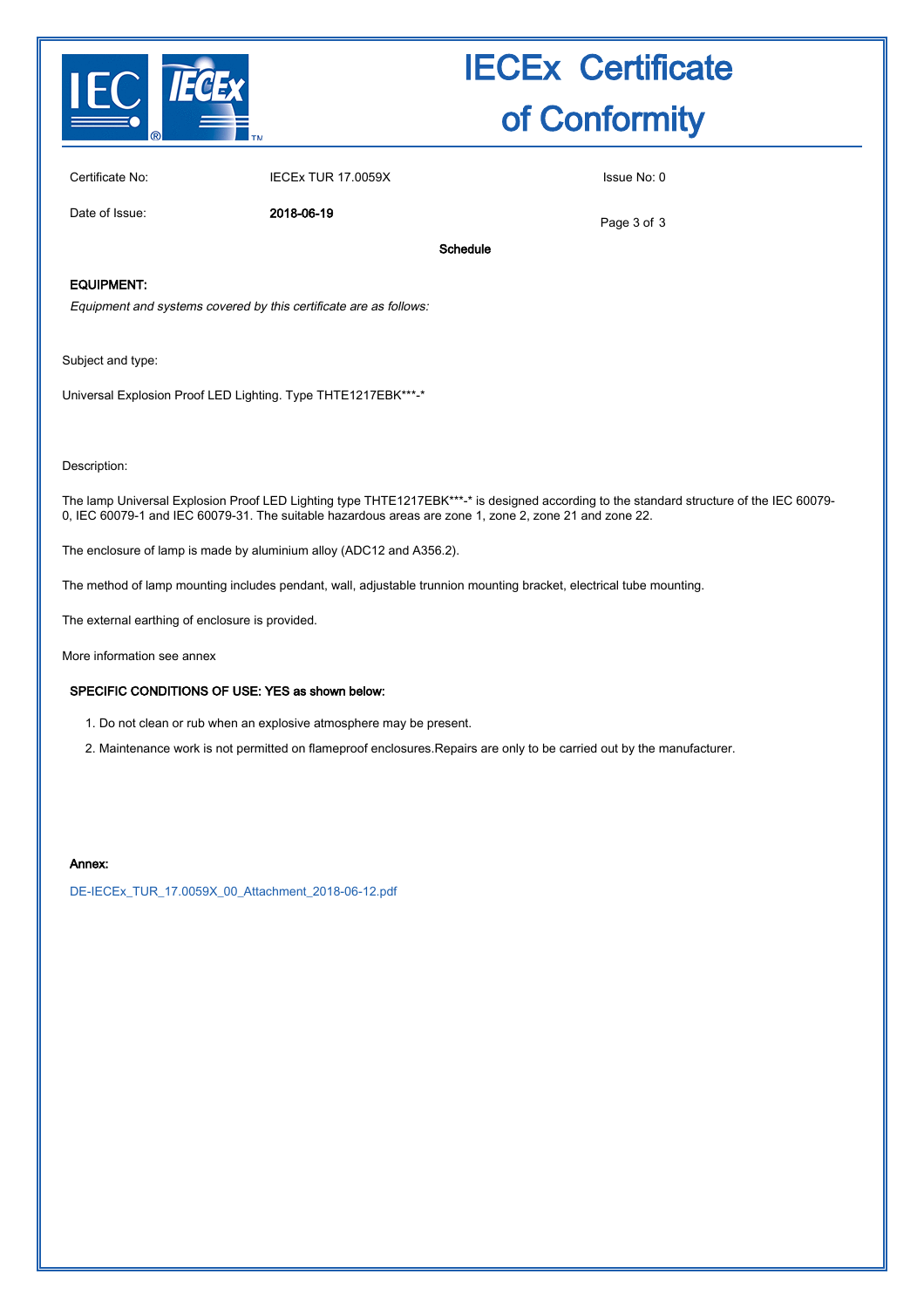

# IECEx Certificate of Conformity

Certificate No: IECEx TUR 17.0059X Issue No: 0

Date of Issue: 2018-06-19

Page 3 of 3

Schedule

### EQUIPMENT:

Equipment and systems covered by this certificate are as follows:

Subject and type:

Universal Explosion Proof LED Lighting. Type THTE1217EBK\*\*\*-\*

Description:

The lamp Universal Explosion Proof LED Lighting type THTE1217EBK\*\*\*-\* is designed according to the standard structure of the IEC 60079-0, IEC 60079-1 and IEC 60079-31. The suitable hazardous areas are zone 1, zone 2, zone 21 and zone 22.

The enclosure of lamp is made by aluminium alloy (ADC12 and A356.2).

The method of lamp mounting includes pendant, wall, adjustable trunnion mounting bracket, electrical tube mounting.

The external earthing of enclosure is provided.

More information see annex

### SPECIFIC CONDITIONS OF USE: YES as shown below:

1. Do not clean or rub when an explosive atmosphere may be present.

2. Maintenance work is not permitted on flameproof enclosures.Repairs are only to be carried out by the manufacturer.

#### Annex:

[DE-IECEx\\_TUR\\_17.0059X\\_00\\_Attachment\\_2018-06-12.pdf](http://iecex.iec.ch/cert/IECExTUR17.0059X0/$File/DE-IECEx_TUR_17.0059X_00_Attachment_2018-06-12.pdf)